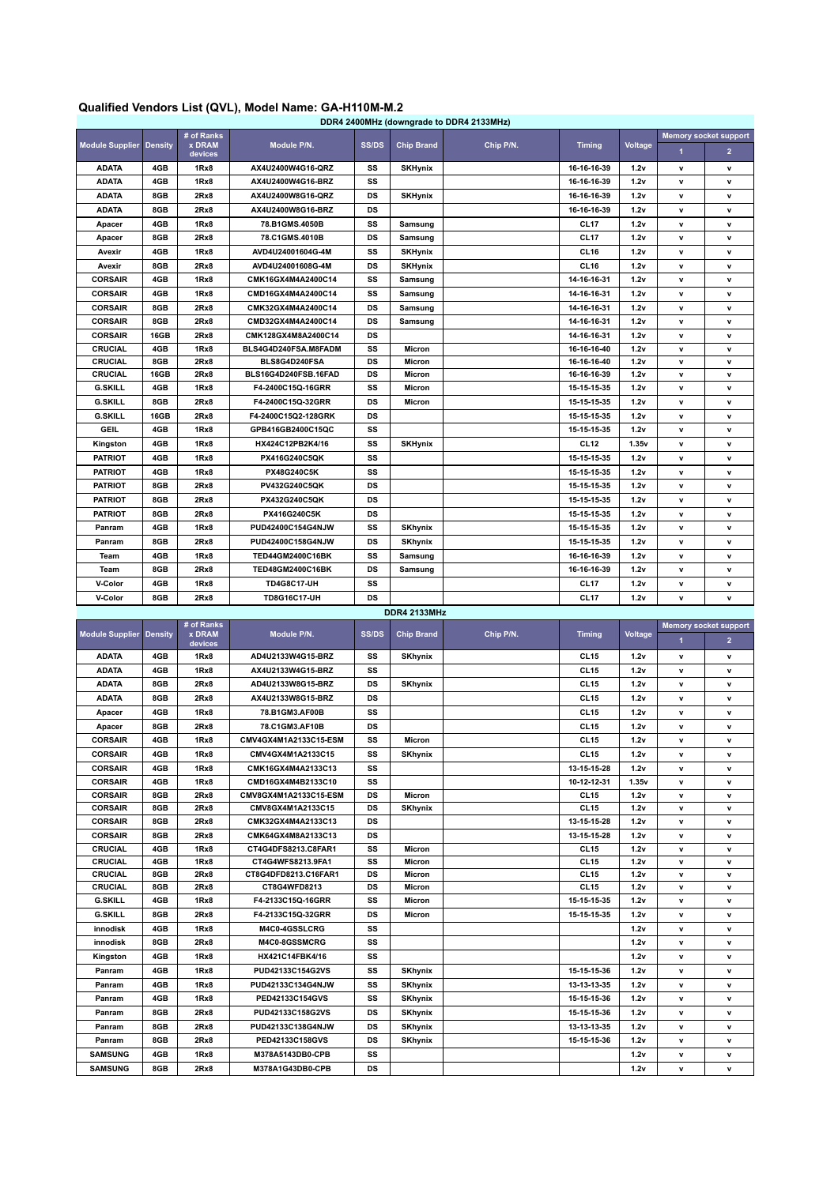## **Qualified Vendors List (QVL), Model Name: GA-H110M-M.2**

| DDR4 2400MHz (downgrade to DDR4 2133MHz) |      |                                        |                      |       |                   |           |                  |         |                              |                |
|------------------------------------------|------|----------------------------------------|----------------------|-------|-------------------|-----------|------------------|---------|------------------------------|----------------|
| <b>Module Supplier Density</b>           |      | # of Ranks<br><b>x DRAM</b><br>devices | Module P/N.          | SS/DS | <b>Chip Brand</b> | Chip P/N. | <b>Timing</b>    | Voltage | <b>Memory socket support</b> |                |
|                                          |      |                                        |                      |       |                   |           |                  |         | $\blacktriangleleft$         | $\overline{2}$ |
| <b>ADATA</b>                             | 4GB  | 1Rx8                                   | AX4U2400W4G16-QRZ    | SS    | <b>SKHynix</b>    |           | 16-16-16-39      | 1.2v    | v                            | v              |
| <b>ADATA</b>                             | 4GB  | 1Rx8                                   | AX4U2400W4G16-BRZ    | SS    |                   |           | 16-16-16-39      | 1.2v    | $\mathbf{v}$                 | v              |
| <b>ADATA</b>                             | 8GB  | 2Rx8                                   | AX4U2400W8G16-QRZ    | DS    | <b>SKHynix</b>    |           | 16-16-16-39      | 1.2v    | $\mathbf{v}$                 | v              |
| <b>ADATA</b>                             | 8GB  | 2Rx8                                   | AX4U2400W8G16-BRZ    | DS    |                   |           | 16-16-16-39      | 1.2v    | $\mathbf{v}$                 | v              |
| Apacer                                   | 4GB  | 1Rx8                                   | 78.B1GMS.4050B       | SS    | Samsung           |           | CL <sub>17</sub> | 1.2v    | v                            | $\mathbf v$    |
| Apacer                                   | 8GB  | 2Rx8                                   | 78.C1GMS.4010B       | DS    | Samsung           |           | CL <sub>17</sub> | 1.2v    | $\mathbf v$                  | v              |
| Avexir                                   | 4GB  | 1Rx8                                   | AVD4U24001604G-4M    | SS    | <b>SKHynix</b>    |           | CL <sub>16</sub> | 1.2v    | v                            | v              |
| Avexir                                   | 8GB  | 2Rx8                                   | AVD4U24001608G-4M    | DS    | <b>SKHynix</b>    |           | CL <sub>16</sub> | 1.2v    | $\mathbf{v}$                 | v              |
| <b>CORSAIR</b>                           | 4GB  | 1Rx8                                   | CMK16GX4M4A2400C14   | SS    | Samsung           |           | 14-16-16-31      | 1.2v    | $\mathbf{v}$                 | v              |
| <b>CORSAIR</b>                           | 4GB  | 1Rx8                                   | CMD16GX4M4A2400C14   | SS    | Samsung           |           | 14-16-16-31      | 1.2v    | $\mathbf{v}$                 | v              |
| <b>CORSAIR</b>                           | 8GB  | 2Rx8                                   | CMK32GX4M4A2400C14   | DS    | Samsung           |           | 14-16-16-31      | 1.2v    | $\mathbf{v}$                 | v              |
| <b>CORSAIR</b>                           | 8GB  | 2Rx8                                   | CMD32GX4M4A2400C14   | DS    | Samsung           |           | 14-16-16-31      | 1.2v    | $\mathbf v$                  | v              |
| <b>CORSAIR</b>                           | 16GB | 2Rx8                                   | CMK128GX4M8A2400C14  | DS    |                   |           | 14-16-16-31      | 1.2v    | $\mathbf{v}$                 | v              |
| <b>CRUCIAL</b>                           | 4GB  | 1Rx8                                   | BLS4G4D240FSA.M8FADM | SS    | Micron            |           | 16-16-16-40      | 1.2v    | $\mathbf v$                  | v              |
| <b>CRUCIAL</b>                           | 8GB  | 2Rx8                                   | BLS8G4D240FSA        | DS    | Micron            |           | 16-16-16-40      | 1.2v    | $\mathbf v$                  | v              |
| <b>CRUCIAL</b>                           | 16GB | 2Rx8                                   | BLS16G4D240FSB.16FAD | DS    | Micron            |           | 16-16-16-39      | 1.2v    | v                            | v              |
| <b>G.SKILL</b>                           | 4GB  | 1Rx8                                   | F4-2400C15Q-16GRR    | SS    | Micron            |           | 15-15-15-35      | 1.2v    | $\mathbf{v}$                 | v              |
| <b>G.SKILL</b>                           | 8GB  | 2Rx8                                   | F4-2400C15Q-32GRR    | DS    | Micron            |           | 15-15-15-35      | 1.2v    | v                            | v              |
| <b>G.SKILL</b>                           | 16GB | 2Rx8                                   | F4-2400C15Q2-128GRK  | DS    |                   |           | 15-15-15-35      | 1.2v    | v                            | v              |
| <b>GEIL</b>                              | 4GB  | 1Rx8                                   | GPB416GB2400C15QC    | SS    |                   |           | 15-15-15-35      | 1.2v    | $\mathbf{v}$                 | v              |
| Kingston                                 | 4GB  | 1Rx8                                   | HX424C12PB2K4/16     | SS    | <b>SKHynix</b>    |           | CL <sub>12</sub> | 1.35v   | $\mathbf{v}$                 | v              |
| <b>PATRIOT</b>                           | 4GB  | 1Rx8                                   | PX416G240C5QK        | SS    |                   |           | 15-15-15-35      | 1.2v    | $\mathbf{v}$                 | $\mathbf v$    |
| <b>PATRIOT</b>                           | 4GB  | 1Rx8                                   | <b>PX48G240C5K</b>   | SS    |                   |           | 15-15-15-35      | 1.2v    | $\mathbf{v}$                 | v              |
| <b>PATRIOT</b>                           | 8GB  | 2Rx8                                   | PV432G240C5QK        | DS    |                   |           | 15-15-15-35      | 1.2v    | $\mathbf v$                  | $\mathbf v$    |
| <b>PATRIOT</b>                           | 8GB  | 2Rx8                                   | PX432G240C5QK        | DS    |                   |           | 15-15-15-35      | 1.2v    | $\mathbf{v}$                 | v              |
| <b>PATRIOT</b>                           | 8GB  | 2Rx8                                   | PX416G240C5K         | DS    |                   |           | 15-15-15-35      | 1.2v    | v                            | v              |
| Panram                                   | 4GB  | 1Rx8                                   | PUD42400C154G4NJW    | SS    | <b>SKhynix</b>    |           | 15-15-15-35      | 1.2v    | $\mathbf{v}$                 | v              |
| Panram                                   | 8GB  | 2Rx8                                   | PUD42400C158G4NJW    | DS    | <b>SKhynix</b>    |           | 15-15-15-35      | 1.2v    | $\mathbf{v}$                 | v              |
| Team                                     | 4GB  | 1Rx8                                   | TED44GM2400C16BK     | SS    | Samsung           |           | 16-16-16-39      | 1.2v    | $\mathbf{v}$                 | $\mathbf v$    |
| Team                                     | 8GB  | 2Rx8                                   | TED48GM2400C16BK     | DS    | Samsung           |           | 16-16-16-39      | 1.2v    | $\mathsf{v}$                 | v              |
| V-Color                                  | 4GB  | 1Rx8                                   | <b>TD4G8C17-UH</b>   | SS    |                   |           | CL <sub>17</sub> | 1.2v    | $\mathbf v$                  | v              |
| V-Color                                  | 8GB  | 2Rx8                                   | <b>TD8G16C17-UH</b>  | DS    |                   |           | CL <sub>17</sub> | 1.2v    | $\mathbf{v}$                 | v              |

**DDR4 2133MHz**

| <b>Module Supplier Density</b> |     | # of Ranks<br><b>x DRAM</b><br>devices | Module P/N.           | <b>SS/DS</b> | <b>Chip Brand</b> | Chip P/N. | <b>Timing</b>    | Voltage | <b>Memory socket support</b> |                |
|--------------------------------|-----|----------------------------------------|-----------------------|--------------|-------------------|-----------|------------------|---------|------------------------------|----------------|
|                                |     |                                        |                       |              |                   |           |                  |         | $\blacktriangleleft$         | 2 <sup>1</sup> |
| <b>ADATA</b>                   | 4GB | 1Rx8                                   | AD4U2133W4G15-BRZ     | SS           | <b>SKhynix</b>    |           | CL <sub>15</sub> | 1.2v    | $\mathbf{v}$                 | v              |
| <b>ADATA</b>                   | 4GB | 1Rx8                                   | AX4U2133W4G15-BRZ     | SS           |                   |           | CL <sub>15</sub> | 1.2v    | $\mathbf{v}$                 | v              |
| <b>ADATA</b>                   | 8GB | 2Rx8                                   | AD4U2133W8G15-BRZ     | DS           | <b>SKhynix</b>    |           | CL <sub>15</sub> | 1.2v    | $\mathbf{v}$                 | v              |
| <b>ADATA</b>                   | 8GB | 2Rx8                                   | AX4U2133W8G15-BRZ     | <b>DS</b>    |                   |           | CL <sub>15</sub> | 1.2v    | $\mathbf{v}$                 | v              |
| Apacer                         | 4GB | 1Rx8                                   | 78.B1GM3.AF00B        | SS           |                   |           | CL <sub>15</sub> | 1.2v    | $\mathbf{v}$                 | v              |
| Apacer                         | 8GB | 2Rx8                                   | 78.C1GM3.AF10B        | DS           |                   |           | CL <sub>15</sub> | 1.2v    | $\mathbf v$                  | v              |
| <b>CORSAIR</b>                 | 4GB | 1Rx8                                   | CMV4GX4M1A2133C15-ESM | SS           | Micron            |           | CL <sub>15</sub> | 1.2v    | $\mathbf{v}$                 | v              |
| <b>CORSAIR</b>                 | 4GB | 1Rx8                                   | CMV4GX4M1A2133C15     | SS           | <b>SKhynix</b>    |           | CL <sub>15</sub> | 1.2v    | $\mathbf{v}$                 | v              |
| <b>CORSAIR</b>                 | 4GB | 1Rx8                                   | CMK16GX4M4A2133C13    | SS           |                   |           | 13-15-15-28      | 1.2v    | $\mathbf{v}$                 | v              |
| <b>CORSAIR</b>                 | 4GB | 1Rx8                                   | CMD16GX4M4B2133C10    | SS           |                   |           | 10-12-12-31      | 1.35v   | $\mathbf{v}$                 | v              |
| <b>CORSAIR</b>                 | 8GB | 2Rx8                                   | CMV8GX4M1A2133C15-ESM | DS           | Micron            |           | CL <sub>15</sub> | 1.2v    | $\mathbf{v}$                 | v              |
| <b>CORSAIR</b>                 | 8GB | 2Rx8                                   | CMV8GX4M1A2133C15     | DS           | <b>SKhynix</b>    |           | CL <sub>15</sub> | 1.2v    | $\mathbf{v}$                 | v              |
| <b>CORSAIR</b>                 | 8GB | 2Rx8                                   | CMK32GX4M4A2133C13    | <b>DS</b>    |                   |           | 13-15-15-28      | 1.2v    | $\mathbf{v}$                 | v              |
| <b>CORSAIR</b>                 | 8GB | 2Rx8                                   | CMK64GX4M8A2133C13    | DS           |                   |           | 13-15-15-28      | 1.2v    | $\mathbf{v}$                 | v              |
| <b>CRUCIAL</b>                 | 4GB | 1Rx8                                   | CT4G4DFS8213.C8FAR1   | SS           | Micron            |           | CL <sub>15</sub> | 1.2v    | $\mathbf{v}$                 | v              |
| <b>CRUCIAL</b>                 | 4GB | 1Rx8                                   | CT4G4WFS8213.9FA1     | SS           | Micron            |           | CL <sub>15</sub> | 1.2v    | $\mathbf v$                  | v              |
| <b>CRUCIAL</b>                 | 8GB | 2Rx8                                   | CT8G4DFD8213.C16FAR1  | DS           | Micron            |           | CL <sub>15</sub> | 1.2v    | $\mathbf{v}$                 | v              |
| <b>CRUCIAL</b>                 | 8GB | 2Rx8                                   | CT8G4WFD8213          | DS           | Micron            |           | CL <sub>15</sub> | 1.2v    | $\mathbf{v}$                 | v              |
| <b>G.SKILL</b>                 | 4GB | 1Rx8                                   | F4-2133C15O-16GRR     | SS           | Micron            |           | 15-15-15-35      | 1.2v    | $\mathbf{v}$                 | v              |
| <b>G.SKILL</b>                 | 8GB | 2Rx8                                   | F4-2133C15Q-32GRR     | DS           | Micron            |           | 15-15-15-35      | 1.2v    | $\mathbf{v}$                 | v              |
| innodisk                       | 4GB | 1Rx8                                   | M4C0-4GSSLCRG         | SS           |                   |           |                  | 1.2v    | $\mathbf v$                  | v              |
| innodisk                       | 8GB | 2Rx8                                   | M4C0-8GSSMCRG         | SS           |                   |           |                  | 1.2v    | $\mathbf{v}$                 | v              |
| Kingston                       | 4GB | 1Rx8                                   | HX421C14FBK4/16       | SS           |                   |           |                  | 1.2v    | $\mathbf v$                  | v              |
| Panram                         | 4GB | 1Rx8                                   | PUD42133C154G2VS      | SS           | <b>SKhynix</b>    |           | 15-15-15-36      | 1.2v    | $\mathbf v$                  | v              |
| Panram                         | 4GB | 1Rx8                                   | PUD42133C134G4NJW     | SS           | <b>SKhynix</b>    |           | 13-13-13-35      | 1.2v    | $\mathbf{v}$                 | v              |
| Panram                         | 4GB | 1Rx8                                   | PED42133C154GVS       | SS           | <b>SKhynix</b>    |           | 15-15-15-36      | 1.2v    | $\mathbf{v}$                 | v              |
| Panram                         | 8GB | 2Rx8                                   | PUD42133C158G2VS      | DS           | <b>SKhynix</b>    |           | 15-15-15-36      | 1.2v    | $\mathbf{v}$                 | v              |
| Panram                         | 8GB | 2Rx8                                   | PUD42133C138G4NJW     | DS           | <b>SKhynix</b>    |           | 13-13-13-35      | 1.2v    | $\mathbf{v}$                 | v              |
| Panram                         | 8GB | 2Rx8                                   | PED42133C158GVS       | DS           | <b>SKhynix</b>    |           | 15-15-15-36      | 1.2v    | $\mathbf{v}$                 | v              |
| <b>SAMSUNG</b>                 | 4GB | 1Rx8                                   | M378A5143DB0-CPB      | SS           |                   |           |                  | 1.2v    | $\mathbf v$                  | v              |
| <b>SAMSUNG</b>                 | 8GB | 2Rx8                                   | M378A1G43DB0-CPB      | DS           |                   |           |                  | 1.2v    | $\mathbf v$                  | $\mathbf v$    |